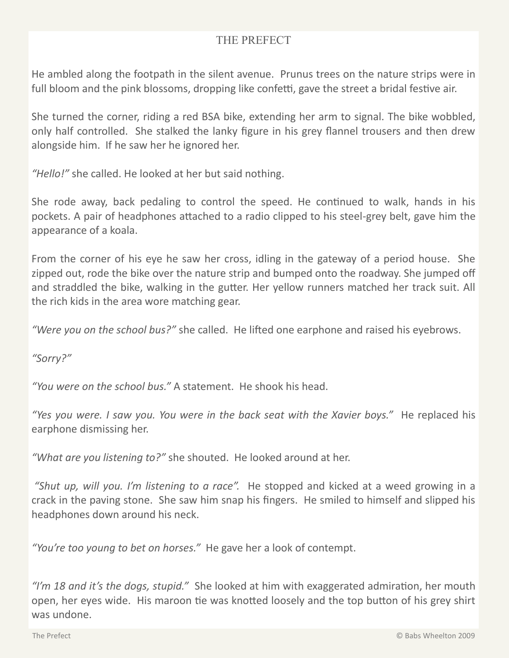## THE PREFECT

He ambled along the footpath in the silent avenue. Prunus trees on the nature strips were in full bloom and the pink blossoms, dropping like confetti, gave the street a bridal festive air.

She turned the corner, riding a red BSA bike, extending her arm to signal. The bike wobbled, only half controlled. She stalked the lanky figure in his grey flannel trousers and then drew alongside him. If he saw her he ignored her.

*"Hello!"* she called. He looked at her but said nothing.

She rode away, back pedaling to control the speed. He continued to walk, hands in his pockets. A pair of headphones attached to a radio clipped to his steel-grey belt, gave him the appearance of a koala.

From the corner of his eye he saw her cross, idling in the gateway of a period house. She zipped out, rode the bike over the nature strip and bumped onto the roadway. She jumped off and straddled the bike, walking in the gutter. Her yellow runners matched her track suit. All the rich kids in the area wore matching gear.

*"Were you on the school bus?"* she called. He lifted one earphone and raised his eyebrows.

*"Sorry?"*

*"You were on the school bus."* A statement. He shook his head.

*"Yes you were. I saw you. You were in the back seat with the Xavier boys."* He replaced his earphone dismissing her.

*"What are you listening to?"* she shouted. He looked around at her.

*"Shut up, will you. I'm listening to a race".* He stopped and kicked at a weed growing in a crack in the paving stone. She saw him snap his fingers. He smiled to himself and slipped his headphones down around his neck.

*"You're too young to bet on horses."* He gave her a look of contempt.

*"I'm 18 and it's the dogs, stupid."* She looked at him with exaggerated admiration, her mouth open, her eyes wide. His maroon tie was knotted loosely and the top button of his grey shirt was undone.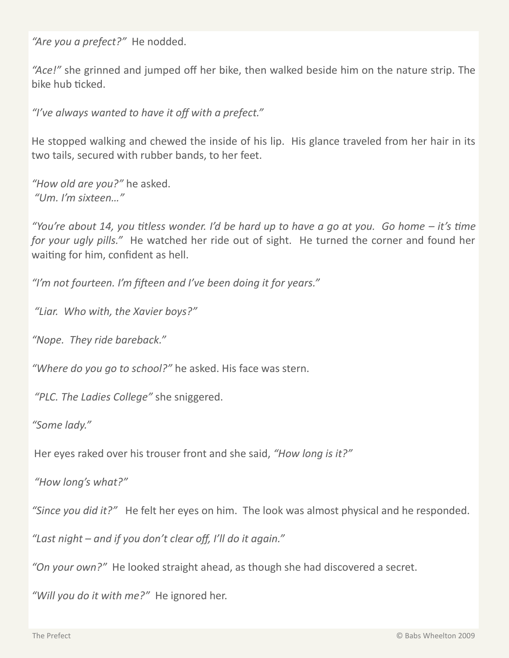*"Are you a prefect?"* He nodded.

*"Ace!"* she grinned and jumped off her bike, then walked beside him on the nature strip. The bike hub ticked.

*"I've always wanted to have it off with a prefect."*

He stopped walking and chewed the inside of his lip. His glance traveled from her hair in its two tails, secured with rubber bands, to her feet.

```
"How old are you?" he asked.
"Um. I'm sixteen…"
```
*"You're about 14, you titless wonder. I'd be hard up to have a go at you. Go home – it's time for your ugly pills."* He watched her ride out of sight. He turned the corner and found her waiting for him, confident as hell.

*"I'm not fourteen. I'm fifteen and I've been doing it for years."*

*"Liar. Who with, the Xavier boys?"*

*"Nope. They ride bareback."*

*"Where do you go to school?"* he asked. His face was stern.

*"PLC. The Ladies College"* she sniggered.

*"Some lady."*

Her eyes raked over his trouser front and she said, *"How long is it?"*

*"How long's what?"*

*"Since you did it?"* He felt her eyes on him. The look was almost physical and he responded.

*"Last night – and if you don't clear off, I'll do it again."*

*"On your own?"* He looked straight ahead, as though she had discovered a secret.

*"Will you do it with me?"* He ignored her.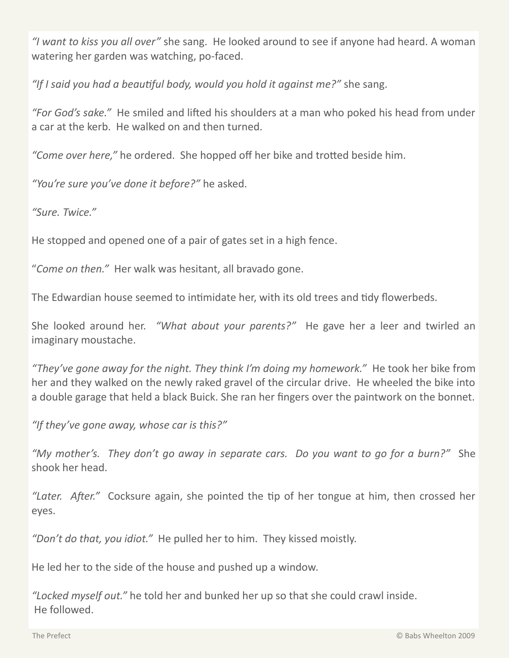*"I want to kiss you all over"* she sang. He looked around to see if anyone had heard. A woman watering her garden was watching, po-faced.

*"If I said you had a beautiful body, would you hold it against me?"* she sang.

*"For God's sake."* He smiled and lifted his shoulders at a man who poked his head from under a car at the kerb. He walked on and then turned.

*"Come over here,"* he ordered. She hopped off her bike and trotted beside him.

*"You're sure you've done it before?"* he asked.

*"Sure. Twice."*

He stopped and opened one of a pair of gates set in a high fence.

"*Come on then."* Her walk was hesitant, all bravado gone.

The Edwardian house seemed to intimidate her, with its old trees and tidy flowerbeds.

She looked around her. *"What about your parents?"* He gave her a leer and twirled an imaginary moustache.

*"They've gone away for the night. They think I'm doing my homework."* He took her bike from her and they walked on the newly raked gravel of the circular drive. He wheeled the bike into a double garage that held a black Buick. She ran her fingers over the paintwork on the bonnet.

*"If they've gone away, whose car is this?"*

*"My mother's. They don't go away in separate cars. Do you want to go for a burn?"* She shook her head.

*"Later. After."* Cocksure again, she pointed the tip of her tongue at him, then crossed her eyes.

*"Don't do that, you idiot."* He pulled her to him. They kissed moistly.

He led her to the side of the house and pushed up a window.

*"Locked myself out."* he told her and bunked her up so that she could crawl inside. He followed.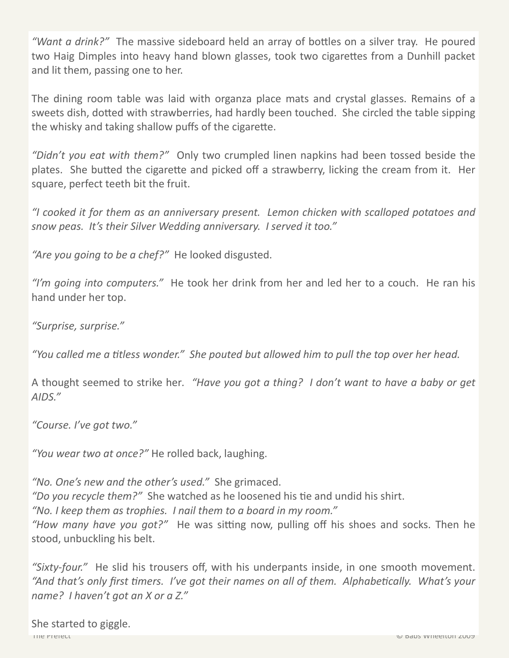*"Want a drink?"* The massive sideboard held an array of bottles on a silver tray. He poured two Haig Dimples into heavy hand blown glasses, took two cigarettes from a Dunhill packet and lit them, passing one to her.

The dining room table was laid with organza place mats and crystal glasses. Remains of a sweets dish, dotted with strawberries, had hardly been touched. She circled the table sipping the whisky and taking shallow puffs of the cigarette.

*"Didn't you eat with them?"* Only two crumpled linen napkins had been tossed beside the plates. She butted the cigarette and picked off a strawberry, licking the cream from it. Her square, perfect teeth bit the fruit.

*"I cooked it for them as an anniversary present. Lemon chicken with scalloped potatoes and snow peas. It's their Silver Wedding anniversary. I served it too."*

*"Are you going to be a chef?"* He looked disgusted.

*"I'm going into computers."* He took her drink from her and led her to a couch. He ran his hand under her top.

*"Surprise, surprise."*

*"You called me a titless wonder." She pouted but allowed him to pull the top over her head.*

A thought seemed to strike her*. "Have you got a thing? I don't want to have a baby or get AIDS."*

*"Course. I've got two."*

*"You wear two at once?"* He rolled back, laughing.

*"No. One's new and the other's used."* She grimaced. *"Do you recycle them?"* She watched as he loosened his tie and undid his shirt. *"No. I keep them as trophies. I nail them to a board in my room." "How many have you got?"* He was sitting now, pulling off his shoes and socks. Then he stood, unbuckling his belt.

*"Sixty-four."* He slid his trousers off, with his underpants inside, in one smooth movement. *"And that's only first timers. I've got their names on all of them. Alphabetically. What's your name? I haven't got an X or a Z."*